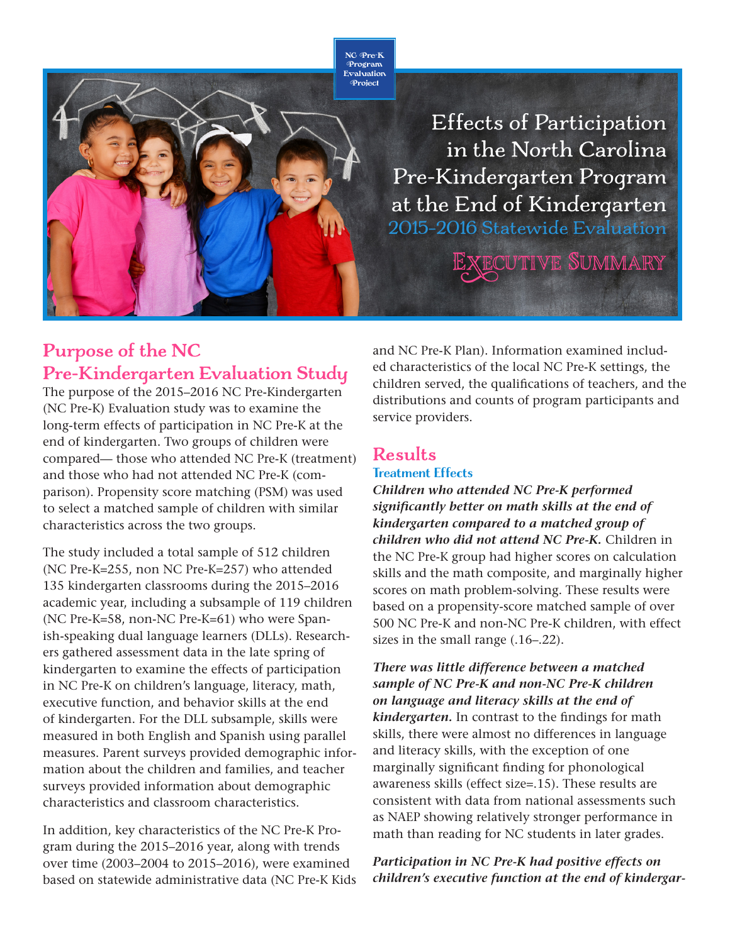NC Pre-K Program Evaluation Project

> Effects of Participation in the North Carolina Pre-Kindergarten Program at the End of Kindergarten 2015–2016 Statewide Evaluation **XECUTIVE SUMMARY**

# **Purpose of the NC Pre-Kindergarten Evaluation Study**

The purpose of the 2015–2016 NC Pre-Kindergarten (NC Pre-K) Evaluation study was to examine the long-term effects of participation in NC Pre-K at the end of kindergarten. Two groups of children were compared— those who attended NC Pre-K (treatment) and those who had not attended NC Pre-K (comparison). Propensity score matching (PSM) was used to select a matched sample of children with similar characteristics across the two groups.

The study included a total sample of 512 children (NC Pre-K=255, non NC Pre-K=257) who attended 135 kindergarten classrooms during the 2015–2016 academic year, including a subsample of 119 children (NC Pre-K=58, non-NC Pre-K=61) who were Spanish-speaking dual language learners (DLLs). Researchers gathered assessment data in the late spring of kindergarten to examine the effects of participation in NC Pre-K on children's language, literacy, math, executive function, and behavior skills at the end of kindergarten. For the DLL subsample, skills were measured in both English and Spanish using parallel measures. Parent surveys provided demographic information about the children and families, and teacher surveys provided information about demographic characteristics and classroom characteristics.

In addition, key characteristics of the NC Pre-K Program during the 2015–2016 year, along with trends over time (2003–2004 to 2015–2016), were examined based on statewide administrative data (NC Pre-K Kids and NC Pre-K Plan). Information examined included characteristics of the local NC Pre-K settings, the children served, the qualifications of teachers, and the distributions and counts of program participants and service providers.

# **Results**

## Treatment Effects

*Children who attended NC Pre-K performed significantly better on math skills at the end of kindergarten compared to a matched group of children who did not attend NC Pre-K.* Children in the NC Pre-K group had higher scores on calculation skills and the math composite, and marginally higher scores on math problem-solving. These results were based on a propensity-score matched sample of over 500 NC Pre-K and non-NC Pre-K children, with effect sizes in the small range (.16–.22).

*There was little difference between a matched sample of NC Pre-K and non-NC Pre-K children on language and literacy skills at the end of kindergarten.* In contrast to the findings for math skills, there were almost no differences in language and literacy skills, with the exception of one marginally significant finding for phonological awareness skills (effect size=.15). These results are consistent with data from national assessments such as NAEP showing relatively stronger performance in math than reading for NC students in later grades.

*Participation in NC Pre-K had positive effects on children's executive function at the end of kindergar-*